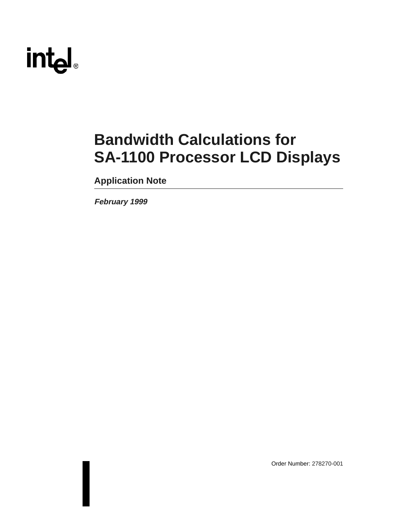# int<sub>el</sub>

## **Bandwidth Calculations for SA-1100 Processor LCD Displays**

**Application Note**

**February 1999**

Order Number: 278270-001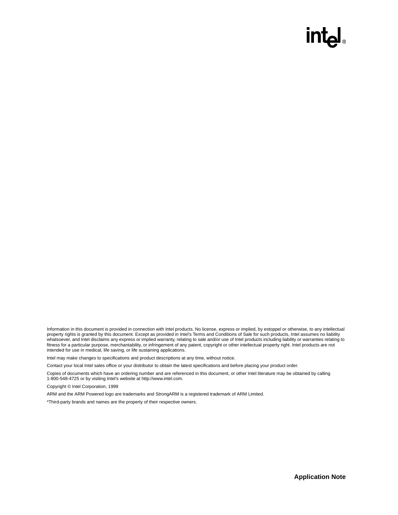## **intal**

Information in this document is provided in connection with Intel products. No license, express or implied, by estoppel or otherwise, to any intellectual property rights is granted by this document. Except as provided in Intel's Terms and Conditions of Sale for such products, Intel assumes no liability whatsoever, and Intel disclaims any express or implied warranty, relating to sale and/or use of Intel products including liability or warranties relating to fitness for a particular purpose, merchantability, or infringement of any patent, copyright or other intellectual property right. Intel products are not intended for use in medical, life saving, or life sustaining applications.

Intel may make changes to specifications and product descriptions at any time, without notice.

Contact your local Intel sales office or your distributor to obtain the latest specifications and before placing your product order.

Copies of documents which have an ordering number and are referenced in this document, or other Intel literature may be obtained by calling 1-800-548-4725 or by visiting Intel's website at http://www.intel.com.

Copyright © Intel Corporation, 1999

ARM and the ARM Powered logo are trademarks and StrongARM is a registered trademark of ARM Limited.

\*Third-party brands and names are the property of their respective owners.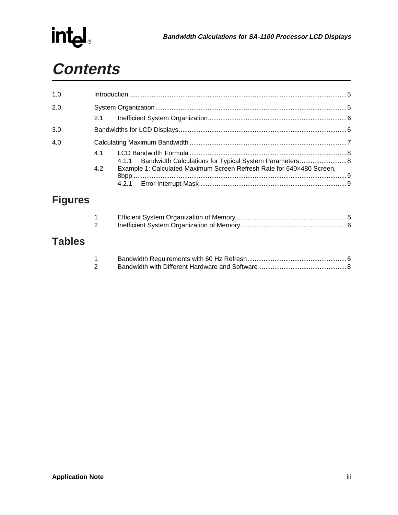

| 1.0 |     |                                                                       |  |
|-----|-----|-----------------------------------------------------------------------|--|
| 2.0 |     |                                                                       |  |
|     | 2.1 |                                                                       |  |
| 3.0 |     |                                                                       |  |
| 4.0 |     |                                                                       |  |
|     | 41  | 4.1.1 Bandwidth Calculations for Typical System Parameters 8          |  |
|     | 4.2 | Example 1: Calculated Maximum Screen Refresh Rate for 640x480 Screen, |  |

## **Figures**

| 2 |  |
|---|--|

## **Tables**

| 2 |  |
|---|--|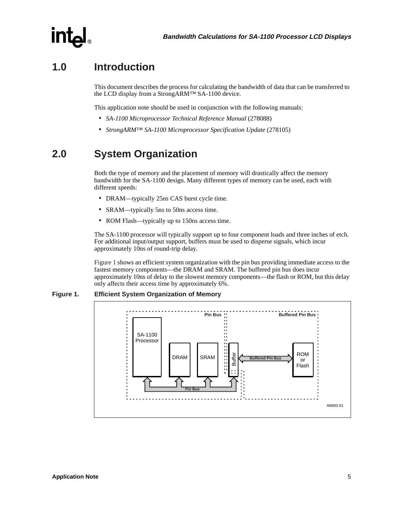

## <span id="page-4-0"></span>**1.0 Introduction**

This document describes the process for calculating the bandwidth of data that can be transferred to the LCD display from a StrongARM™ SA-1100 device.

This application note should be used in conjunction with the following manuals:

- *SA-1100 Microprocessor Technical Reference Manual* (278088)
- *StrongARM™ SA-1100 Microprocessor Specification Update* (278105)

## <span id="page-4-1"></span>**2.0 System Organization**

Both the type of memory and the placement of memory will drastically affect the memory bandwidth for the SA-1100 design. Many different types of memory can be used, each with different speeds:

- DRAM—typically 25ns CAS burst cycle time.
- SRAM—typically 5ns to 50ns access time.
- ROM Flash—typically up to 150ns access time.

The SA-1100 processor will typically support up to four component loads and three inches of etch. For additional input/output support, buffers must be used to disperse signals, which incur approximately 10ns of round-trip delay.

[Figure 1](#page-4-2) shows an efficient system organization with the pin bus providing immediate access to the fastest memory components—the DRAM and SRAM. The buffered pin bus does incur approximately 10ns of delay to the slowest memory components—the flash or ROM, but this delay only affects their access time by approximately 6%.

#### <span id="page-4-2"></span>**Figure 1. Efficient System Organization of Memory**

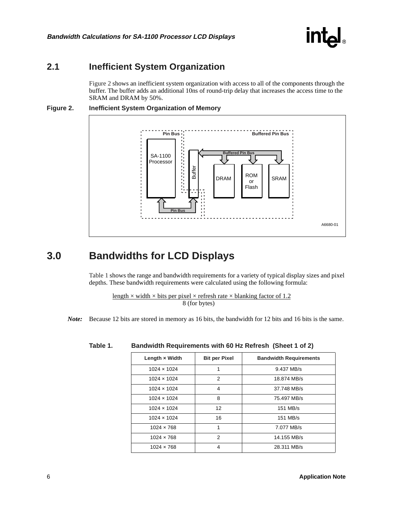

### <span id="page-5-0"></span>**2.1 Inefficient System Organization**

[Figure 2](#page-5-2) shows an inefficient system organization with access to all of the components through the buffer. The buffer adds an additional 10ns of round-trip delay that increases the access time to the SRAM and DRAM by 50%.

<span id="page-5-2"></span>



## <span id="page-5-1"></span>**3.0 Bandwidths for LCD Displays**

[Table 1](#page-5-3) shows the range and bandwidth requirements for a variety of typical display sizes and pixel depths. These bandwidth requirements were calculated using the following formula:

length  $\times$  width  $\times$  bits per pixel  $\times$  refresh rate  $\times$  blanking factor of 1.2 8 (for bytes)

*Note:* Because 12 bits are stored in memory as 16 bits, the bandwidth for 12 bits and 16 bits is the same.

| Length $\times$ Width | <b>Bit per Pixel</b> | <b>Bandwidth Requirements</b> |
|-----------------------|----------------------|-------------------------------|
| $1024 \times 1024$    | 1                    | 9.437 MB/s                    |
| $1024 \times 1024$    | 2                    | 18.874 MB/s                   |
| $1024 \times 1024$    | 4                    | 37.748 MB/s                   |
| $1024 \times 1024$    | 8                    | 75.497 MB/s                   |
| $1024 \times 1024$    | 12                   | 151 MB/s                      |
| $1024 \times 1024$    | 16                   | 151 MB/s                      |
| $1024 \times 768$     | 1                    | 7.077 MB/s                    |
| $1024 \times 768$     | 2                    | 14.155 MB/s                   |
| $1024 \times 768$     | 4                    | 28.311 MB/s                   |

#### <span id="page-5-3"></span>**Table 1. Bandwidth Requirements with 60 Hz Refresh (Sheet 1 of 2)**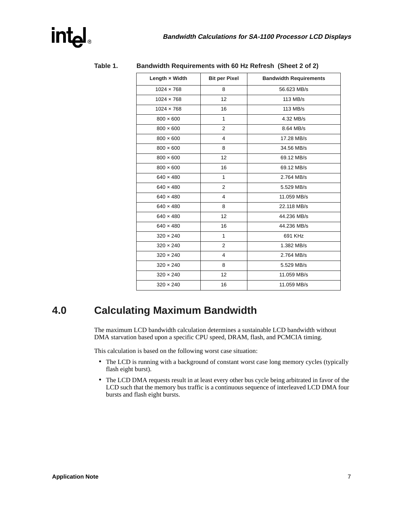| Length x Width    | <b>Bit per Pixel</b> | <b>Bandwidth Requirements</b> |
|-------------------|----------------------|-------------------------------|
| $1024 \times 768$ | 8                    | 56.623 MB/s                   |
| $1024 \times 768$ | 12                   | 113 MB/s                      |
| $1024 \times 768$ | 16                   | 113 MB/s                      |
| $800 \times 600$  | $\mathbf{1}$         | 4.32 MB/s                     |
| $800 \times 600$  | $\overline{2}$       | 8.64 MB/s                     |
| $800 \times 600$  | 4                    | 17.28 MB/s                    |
| $800 \times 600$  | 8                    | 34.56 MB/s                    |
| $800 \times 600$  | 12                   | 69.12 MB/s                    |
| $800 \times 600$  | 16                   | 69.12 MB/s                    |
| $640 \times 480$  | 1                    | 2.764 MB/s                    |
| $640 \times 480$  | $\overline{2}$       | 5.529 MB/s                    |
| $640 \times 480$  | 4                    | 11.059 MB/s                   |
| $640 \times 480$  | 8                    | 22.118 MB/s                   |
| $640 \times 480$  | 12                   | 44.236 MB/s                   |
| $640 \times 480$  | 16                   | 44.236 MB/s                   |
| $320 \times 240$  | $\mathbf{1}$         | 691 KHz                       |
| $320 \times 240$  | $\overline{2}$       | 1.382 MB/s                    |
| $320 \times 240$  | 4                    | 2.764 MB/s                    |
| $320 \times 240$  | 8                    | 5.529 MB/s                    |
| $320 \times 240$  | 12                   | 11.059 MB/s                   |
| $320 \times 240$  | 16                   | 11.059 MB/s                   |

| Table 1. | Bandwidth Requirements with 60 Hz Refresh (Sheet 2 of 2) |  |
|----------|----------------------------------------------------------|--|
|----------|----------------------------------------------------------|--|

## <span id="page-6-0"></span>**4.0 Calculating Maximum Bandwidth**

The maximum LCD bandwidth calculation determines a sustainable LCD bandwidth without DMA starvation based upon a specific CPU speed, DRAM, flash, and PCMCIA timing.

This calculation is based on the following worst case situation:

- The LCD is running with a background of constant worst case long memory cycles (typically flash eight burst).
- The LCD DMA requests result in at least every other bus cycle being arbitrated in favor of the LCD such that the memory bus traffic is a continuous sequence of interleaved LCD DMA four bursts and flash eight bursts.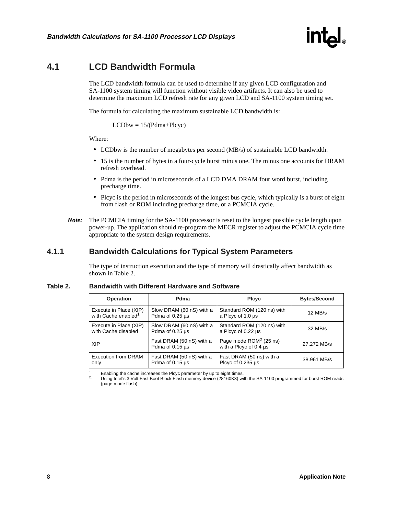

### <span id="page-7-0"></span>**4.1 LCD Bandwidth Formula**

The LCD bandwidth formula can be used to determine if any given LCD configuration and SA-1100 system timing will function without visible video artifacts. It can also be used to determine the maximum LCD refresh rate for any given LCD and SA-1100 system timing set.

The formula for calculating the maximum sustainable LCD bandwidth is:

 $LCDbw = 15/(Pdma+Plcyc)$ 

#### Where:

- LCDbw is the number of megabytes per second (MB/s) of sustainable LCD bandwidth.
- 15 is the number of bytes in a four-cycle burst minus one. The minus one accounts for DRAM refresh overhead.
- Pdma is the period in microseconds of a LCD DMA DRAM four word burst, including precharge time.
- Plcyc is the period in microseconds of the longest bus cycle, which typically is a burst of eight from flash or ROM including precharge time, or a PCMCIA cycle.
- *Note:* The PCMCIA timing for the SA-1100 processor is reset to the longest possible cycle length upon power-up. The application should re-program the MECR register to adjust the PCMCIA cycle time appropriate to the system design requirements.

#### <span id="page-7-1"></span>**4.1.1 Bandwidth Calculations for Typical System Parameters**

The type of instruction execution and the type of memory will drastically affect bandwidth as shown in [Table 2.](#page-7-2)

| <b>Operation</b>                | Pdma                                        | <b>Plcyc</b>                                       | <b>Bytes/Second</b> |
|---------------------------------|---------------------------------------------|----------------------------------------------------|---------------------|
| Execute in Place (XIP)          | Slow DRAM (60 nS) with a                    | Standard ROM (120 ns) with                         | $12$ MB/s           |
| with Cache enabled <sup>1</sup> | Pdma of 0.25 us                             | a Plcyc of 1.0 us                                  |                     |
| Execute in Place (XIP)          | Slow DRAM (60 nS) with a                    | Standard ROM (120 ns) with                         | $32$ MB/s           |
| with Cache disabled             | Pdma of 0.25 us                             | a Plcyc of 0.22 us                                 |                     |
| <b>XIP</b>                      | Fast DRAM (50 nS) with a<br>Pdma of 0.15 µs | Page mode $ROM2$ (25 ns)<br>with a Plcyc of 0.4 µs | 27.272 MB/s         |
| <b>Execution from DRAM</b>      | Fast DRAM (50 nS) with a                    | Fast DRAM (50 ns) with a                           | 38.961 MB/s         |
| only                            | Pdma of $0.15 \mu s$                        | Plcyc of 0.235 us                                  |                     |

#### <span id="page-7-2"></span>**Table 2. Bandwidth with Different Hardware and Software**

<sup>1.</sup> Enabling the cache increases the Plcyc parameter by up to eight times.<br><sup>2.</sup> Using Intel's 3 Volt Fast Boot Block Flash memory device (28160K3) with the SA-1100 programmed for burst ROM reads (page mode flash).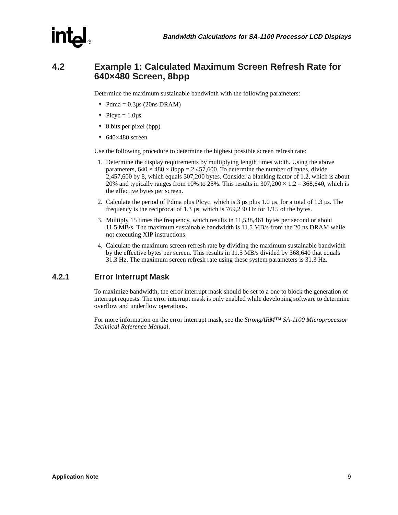

### <span id="page-8-0"></span>**4.2 Example 1: Calculated Maximum Screen Refresh Rate for 640×480 Screen, 8bpp**

Determine the maximum sustainable bandwidth with the following parameters:

- Pdma =  $0.3\mu s$  (20ns DRAM)
- Plcyc =  $1.0\mu s$
- 8 bits per pixel (bpp)
- $640\times480$  screen

Use the following procedure to determine the highest possible screen refresh rate:

- 1. Determine the display requirements by multiplying length times width. Using the above parameters,  $640 \times 480 \times 8$ bpp = 2,457,600. To determine the number of bytes, divide 2,457,600 by 8, which equals 307,200 bytes. Consider a blanking factor of 1.2, which is about 20% and typically ranges from 10% to 25%. This results in  $307,200 \times 1.2 = 368,640$ , which is the effective bytes per screen.
- 2. Calculate the period of Pdma plus Plcyc, which is.3 µs plus 1.0 µs, for a total of 1.3 µs. The frequency is the reciprocal of 1.3 µs, which is 769,230 Hz for 1/15 of the bytes.
- 3. Multiply 15 times the frequency, which results in 11,538,461 bytes per second or about 11.5 MB/s. The maximum sustainable bandwidth is 11.5 MB/s from the 20 ns DRAM while not executing XIP instructions.
- 4. Calculate the maximum screen refresh rate by dividing the maximum sustainable bandwidth by the effective bytes per screen. This results in 11.5 MB/s divided by 368,640 that equals 31.3 Hz. The maximum screen refresh rate using these system parameters is 31.3 Hz.

#### <span id="page-8-1"></span>**4.2.1 Error Interrupt Mask**

To maximize bandwidth, the error interrupt mask should be set to a one to block the generation of interrupt requests. The error interrupt mask is only enabled while developing software to determine overflow and underflow operations.

For more information on the error interrupt mask, see the *StrongARM™ SA-1100 Microprocessor Technical Reference Manual*.